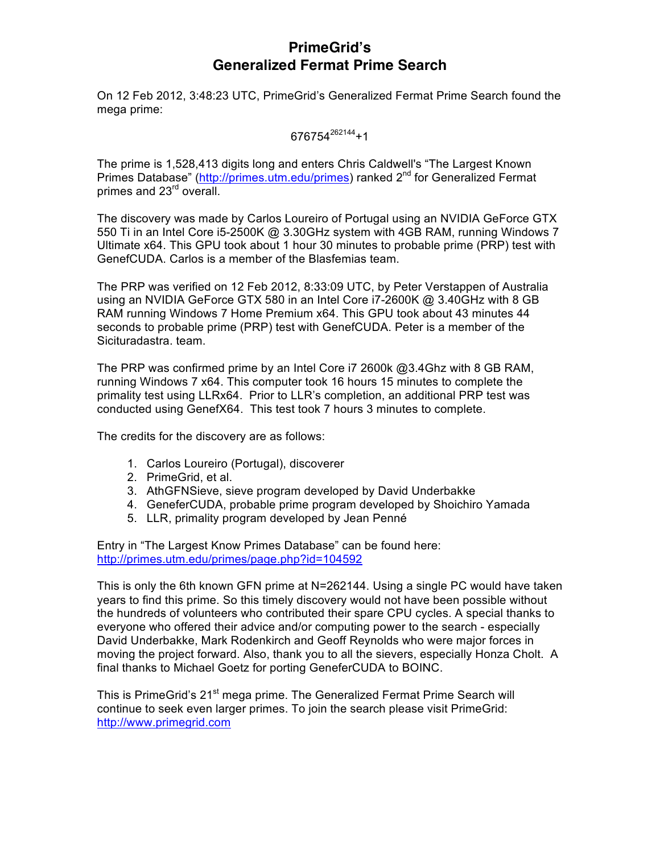# **PrimeGrid's Generalized Fermat Prime Search**

On 12 Feb 2012, 3:48:23 UTC, PrimeGrid's Generalized Fermat Prime Search found the mega prime:

 $676754^{262144}+1$ 

The prime is 1,528,413 digits long and enters Chris Caldwell's "The Largest Known Primes Database" (http://primes.utm.edu/primes) ranked 2<sup>nd</sup> for Generalized Fermat primes and 23<sup>rd</sup> overall.

The discovery was made by Carlos Loureiro of Portugal using an NVIDIA GeForce GTX 550 Ti in an Intel Core i5-2500K @ 3.30GHz system with 4GB RAM, running Windows 7 Ultimate x64. This GPU took about 1 hour 30 minutes to probable prime (PRP) test with GenefCUDA. Carlos is a member of the Blasfemias team.

The PRP was verified on 12 Feb 2012, 8:33:09 UTC, by Peter Verstappen of Australia using an NVIDIA GeForce GTX 580 in an Intel Core i7-2600K @ 3.40GHz with 8 GB RAM running Windows 7 Home Premium x64. This GPU took about 43 minutes 44 seconds to probable prime (PRP) test with GenefCUDA. Peter is a member of the Sicituradastra. team.

The PRP was confirmed prime by an Intel Core i7 2600k @3.4Ghz with 8 GB RAM, running Windows 7 x64. This computer took 16 hours 15 minutes to complete the primality test using LLRx64. Prior to LLR's completion, an additional PRP test was conducted using GenefX64. This test took 7 hours 3 minutes to complete.

The credits for the discovery are as follows:

- 1. Carlos Loureiro (Portugal), discoverer
- 2. PrimeGrid, et al.
- 3. AthGFNSieve, sieve program developed by David Underbakke
- 4. GeneferCUDA, probable prime program developed by Shoichiro Yamada
- 5. LLR, primality program developed by Jean Penné

Entry in "The Largest Know Primes Database" can be found here: http://primes.utm.edu/primes/page.php?id=104592

This is only the 6th known GFN prime at N=262144. Using a single PC would have taken years to find this prime. So this timely discovery would not have been possible without the hundreds of volunteers who contributed their spare CPU cycles. A special thanks to everyone who offered their advice and/or computing power to the search - especially David Underbakke, Mark Rodenkirch and Geoff Reynolds who were major forces in moving the project forward. Also, thank you to all the sievers, especially Honza Cholt. A final thanks to Michael Goetz for porting GeneferCUDA to BOINC.

This is PrimeGrid's 21<sup>st</sup> mega prime. The Generalized Fermat Prime Search will continue to seek even larger primes. To join the search please visit PrimeGrid: http://www.primegrid.com